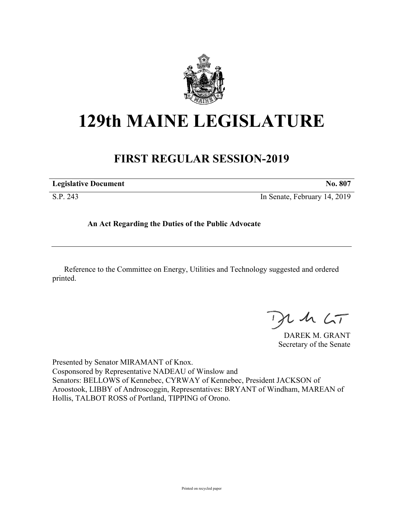

## **129th MAINE LEGISLATURE**

## **FIRST REGULAR SESSION-2019**

| <b>Legislative Document</b> | No. 807                      |
|-----------------------------|------------------------------|
| S.P. 243                    | In Senate, February 14, 2019 |

**An Act Regarding the Duties of the Public Advocate**

Reference to the Committee on Energy, Utilities and Technology suggested and ordered printed.

 $42.6T$ 

DAREK M. GRANT Secretary of the Senate

Presented by Senator MIRAMANT of Knox. Cosponsored by Representative NADEAU of Winslow and Senators: BELLOWS of Kennebec, CYRWAY of Kennebec, President JACKSON of Aroostook, LIBBY of Androscoggin, Representatives: BRYANT of Windham, MAREAN of Hollis, TALBOT ROSS of Portland, TIPPING of Orono.